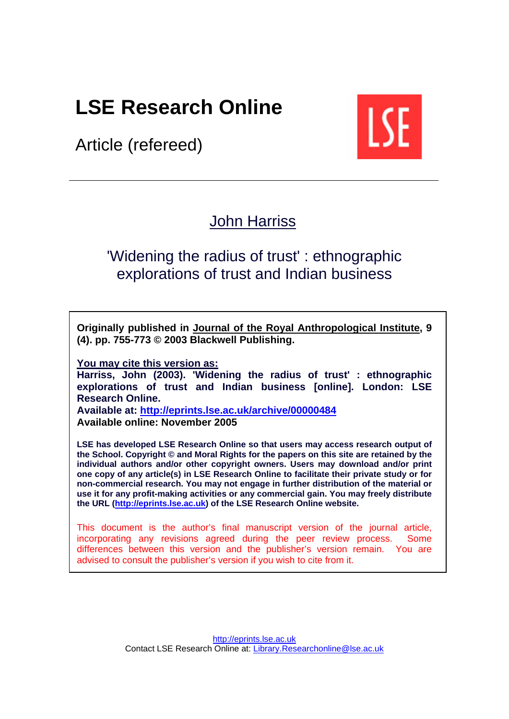# **LSE Research Online**

Article (refereed)

**Research Online.** 



# [John Harriss](http://www.lse.ac.uk/people/j.harriss@lse.ac.uk/)

# 'Widening the radius of trust' : ethnographic explorations of trust and Indian business

**Originally published i[n Journal of the Royal Anthropological Institute,](http://www.blackwellpublishing.com/journals/JRAI) 9 (4). pp. 755-773 © 2003 Blackwell Publishing.** 

**You may cite this version as: Harriss, John (2003). 'Widening the radius of trust' : ethnographic explorations of trust and Indian business [online]. London: LSE** 

**Available at: <http://eprints.lse.ac.uk/archive/00000484> Available online: November 2005**

**LSE has developed LSE Research Online so that users may access research output of the School. Copyright © and Moral Rights for the papers on this site are retained by the individual authors and/or other copyright owners. Users may download and/or print one copy of any article(s) in LSE Research Online to facilitate their private study or for non-commercial research. You may not engage in further distribution of the material or use it for any profit-making activities or any commercial gain. You may freely distribute the URL [\(http://eprints.lse.ac.uk\)](http://eprints.lse.ac.uk/) of the LSE Research Online website.** 

This document is the author's final manuscript version of the journal article, incorporating any revisions agreed during the peer review process. Some differences between this version and the publisher's version remain. You are advised to consult the publisher's version if you wish to cite from it.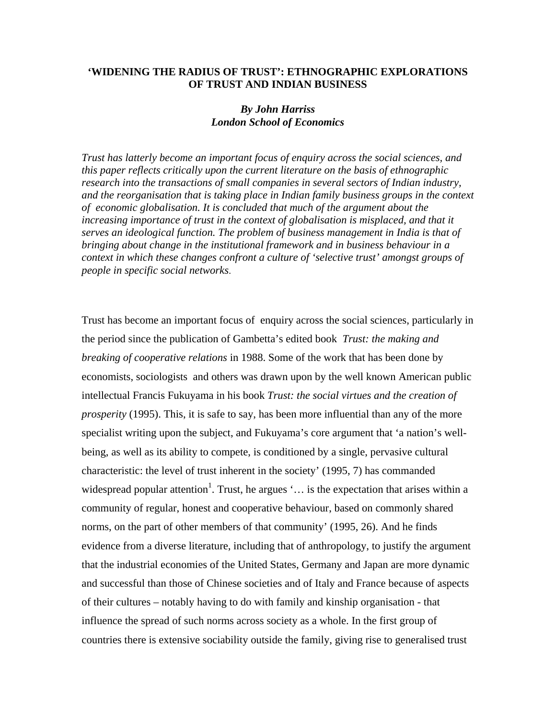## **'WIDENING THE RADIUS OF TRUST': ETHNOGRAPHIC EXPLORATIONS OF TRUST AND INDIAN BUSINESS**

### *By John Harriss London School of Economics*

*Trust has latterly become an important focus of enquiry across the social sciences, and this paper reflects critically upon the current literature on the basis of ethnographic research into the transactions of small companies in several sectors of Indian industry, and the reorganisation that is taking place in Indian family business groups in the context of economic globalisation. It is concluded that much of the argument about the increasing importance of trust in the context of globalisation is misplaced, and that it serves an ideological function. The problem of business management in India is that of bringing about change in the institutional framework and in business behaviour in a context in which these changes confront a culture of 'selective trust' amongst groups of people in specific social networks*.

Trust has become an important focus of enquiry across the social sciences, particularly in the period since the publication of Gambetta's edited book *Trust: the making and breaking of cooperative relations* in 1988. Some of the work that has been done by economists, sociologists and others was drawn upon by the well known American public intellectual Francis Fukuyama in his book *Trust: the social virtues and the creation of prosperity* (1995). This, it is safe to say, has been more influential than any of the more specialist writing upon the subject, and Fukuyama's core argument that 'a nation's wellbeing, as well as its ability to compete, is conditioned by a single, pervasive cultural characteristic: the level of trust inherent in the society' (1995, 7) has commanded widespread popular attention<sup>[1](#page-26-0)</sup>. Trust, he argues '... is the expectation that arises within a community of regular, honest and cooperative behaviour, based on commonly shared norms, on the part of other members of that community' (1995, 26). And he finds evidence from a diverse literature, including that of anthropology, to justify the argument that the industrial economies of the United States, Germany and Japan are more dynamic and successful than those of Chinese societies and of Italy and France because of aspects of their cultures – notably having to do with family and kinship organisation - that influence the spread of such norms across society as a whole. In the first group of countries there is extensive sociability outside the family, giving rise to generalised trust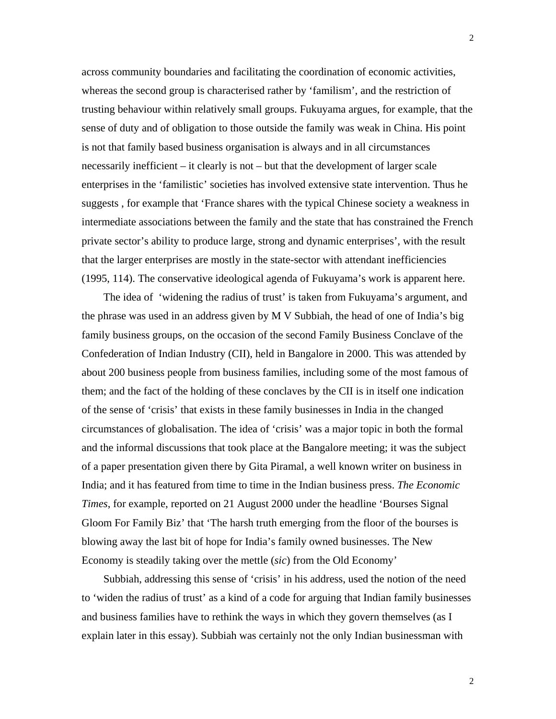across community boundaries and facilitating the coordination of economic activities, whereas the second group is characterised rather by 'familism', and the restriction of trusting behaviour within relatively small groups. Fukuyama argues, for example, that the sense of duty and of obligation to those outside the family was weak in China. His point is not that family based business organisation is always and in all circumstances necessarily inefficient – it clearly is not – but that the development of larger scale enterprises in the 'familistic' societies has involved extensive state intervention. Thus he suggests , for example that 'France shares with the typical Chinese society a weakness in intermediate associations between the family and the state that has constrained the French private sector's ability to produce large, strong and dynamic enterprises', with the result that the larger enterprises are mostly in the state-sector with attendant inefficiencies (1995, 114). The conservative ideological agenda of Fukuyama's work is apparent here.

 The idea of 'widening the radius of trust' is taken from Fukuyama's argument, and the phrase was used in an address given by M V Subbiah, the head of one of India's big family business groups, on the occasion of the second Family Business Conclave of the Confederation of Indian Industry (CII), held in Bangalore in 2000. This was attended by about 200 business people from business families, including some of the most famous of them; and the fact of the holding of these conclaves by the CII is in itself one indication of the sense of 'crisis' that exists in these family businesses in India in the changed circumstances of globalisation. The idea of 'crisis' was a major topic in both the formal and the informal discussions that took place at the Bangalore meeting; it was the subject of a paper presentation given there by Gita Piramal, a well known writer on business in India; and it has featured from time to time in the Indian business press. *The Economic Times*, for example, reported on 21 August 2000 under the headline 'Bourses Signal Gloom For Family Biz' that 'The harsh truth emerging from the floor of the bourses is blowing away the last bit of hope for India's family owned businesses. The New Economy is steadily taking over the mettle (*sic*) from the Old Economy'

 Subbiah, addressing this sense of 'crisis' in his address, used the notion of the need to 'widen the radius of trust' as a kind of a code for arguing that Indian family businesses and business families have to rethink the ways in which they govern themselves (as I explain later in this essay). Subbiah was certainly not the only Indian businessman with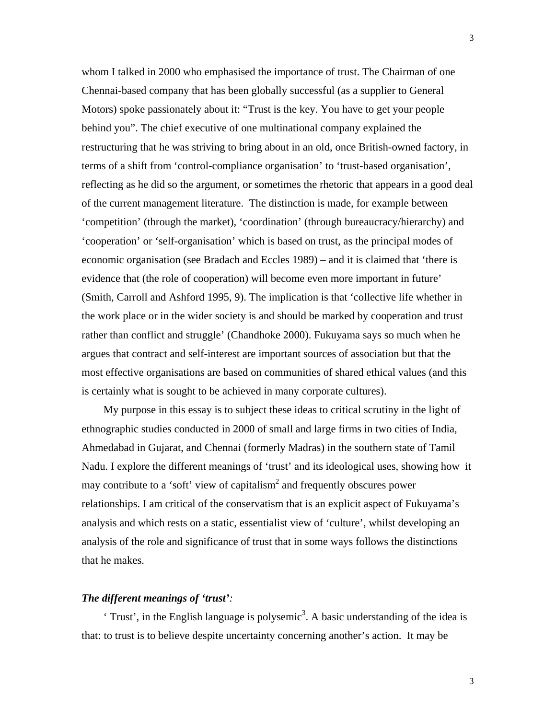whom I talked in 2000 who emphasised the importance of trust. The Chairman of one Chennai-based company that has been globally successful (as a supplier to General Motors) spoke passionately about it: "Trust is the key. You have to get your people behind you". The chief executive of one multinational company explained the restructuring that he was striving to bring about in an old, once British-owned factory, in terms of a shift from 'control-compliance organisation' to 'trust-based organisation', reflecting as he did so the argument, or sometimes the rhetoric that appears in a good deal of the current management literature. The distinction is made, for example between 'competition' (through the market), 'coordination' (through bureaucracy/hierarchy) and 'cooperation' or 'self-organisation' which is based on trust, as the principal modes of economic organisation (see Bradach and Eccles 1989) – and it is claimed that 'there is evidence that (the role of cooperation) will become even more important in future' (Smith, Carroll and Ashford 1995, 9). The implication is that 'collective life whether in the work place or in the wider society is and should be marked by cooperation and trust rather than conflict and struggle' (Chandhoke 2000). Fukuyama says so much when he argues that contract and self-interest are important sources of association but that the most effective organisations are based on communities of shared ethical values (and this is certainly what is sought to be achieved in many corporate cultures).

 My purpose in this essay is to subject these ideas to critical scrutiny in the light of ethnographic studies conducted in 2000 of small and large firms in two cities of India, Ahmedabad in Gujarat, and Chennai (formerly Madras) in the southern state of Tamil Nadu. I explore the different meanings of 'trust' and its ideological uses, showing how it may contribute to a 'soft' view of capitalism<sup>[2](#page-26-1)</sup> and frequently obscures power relationships. I am critical of the conservatism that is an explicit aspect of Fukuyama's analysis and which rests on a static, essentialist view of 'culture', whilst developing an analysis of the role and significance of trust that in some ways follows the distinctions that he makes.

#### *The different meanings of 'trust':*

' Trust', in the English language is polysemic<sup>[3](#page-26-2)</sup>. A basic understanding of the idea is that: to trust is to believe despite uncertainty concerning another's action. It may be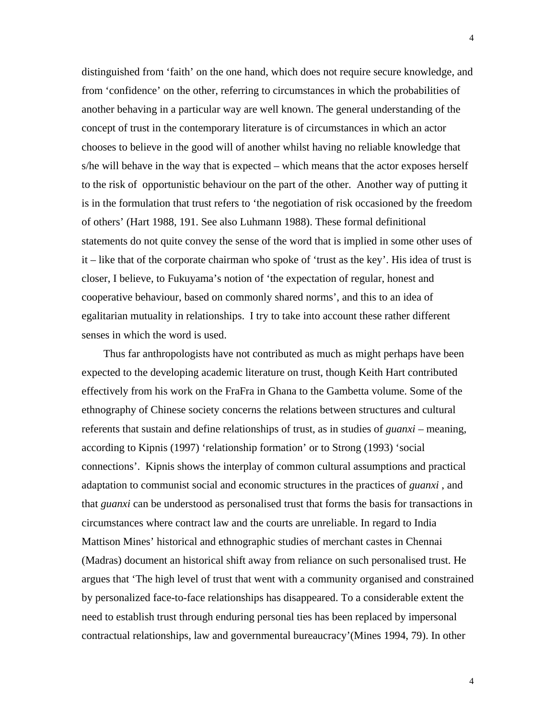distinguished from 'faith' on the one hand, which does not require secure knowledge, and from 'confidence' on the other, referring to circumstances in which the probabilities of another behaving in a particular way are well known. The general understanding of the concept of trust in the contemporary literature is of circumstances in which an actor chooses to believe in the good will of another whilst having no reliable knowledge that s/he will behave in the way that is expected – which means that the actor exposes herself to the risk of opportunistic behaviour on the part of the other. Another way of putting it is in the formulation that trust refers to 'the negotiation of risk occasioned by the freedom of others' (Hart 1988, 191. See also Luhmann 1988). These formal definitional statements do not quite convey the sense of the word that is implied in some other uses of it – like that of the corporate chairman who spoke of 'trust as the key'. His idea of trust is closer, I believe, to Fukuyama's notion of 'the expectation of regular, honest and cooperative behaviour, based on commonly shared norms', and this to an idea of egalitarian mutuality in relationships. I try to take into account these rather different senses in which the word is used.

 Thus far anthropologists have not contributed as much as might perhaps have been expected to the developing academic literature on trust, though Keith Hart contributed effectively from his work on the FraFra in Ghana to the Gambetta volume. Some of the ethnography of Chinese society concerns the relations between structures and cultural referents that sustain and define relationships of trust, as in studies of *guanxi* – meaning, according to Kipnis (1997) 'relationship formation' or to Strong (1993) 'social connections'. Kipnis shows the interplay of common cultural assumptions and practical adaptation to communist social and economic structures in the practices of *guanxi* , and that *guanxi* can be understood as personalised trust that forms the basis for transactions in circumstances where contract law and the courts are unreliable. In regard to India Mattison Mines' historical and ethnographic studies of merchant castes in Chennai (Madras) document an historical shift away from reliance on such personalised trust. He argues that 'The high level of trust that went with a community organised and constrained by personalized face-to-face relationships has disappeared. To a considerable extent the need to establish trust through enduring personal ties has been replaced by impersonal contractual relationships, law and governmental bureaucracy'(Mines 1994, 79). In other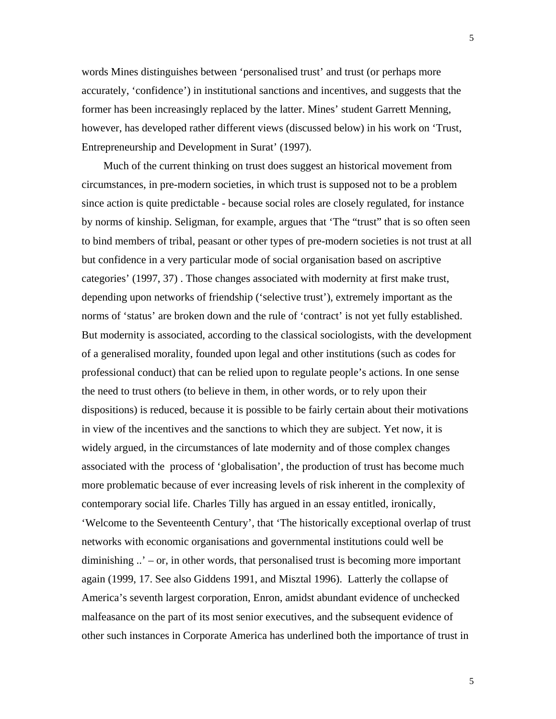words Mines distinguishes between 'personalised trust' and trust (or perhaps more accurately, 'confidence') in institutional sanctions and incentives, and suggests that the former has been increasingly replaced by the latter. Mines' student Garrett Menning, however, has developed rather different views (discussed below) in his work on 'Trust, Entrepreneurship and Development in Surat' (1997).

 Much of the current thinking on trust does suggest an historical movement from circumstances, in pre-modern societies, in which trust is supposed not to be a problem since action is quite predictable - because social roles are closely regulated, for instance by norms of kinship. Seligman, for example, argues that 'The "trust" that is so often seen to bind members of tribal, peasant or other types of pre-modern societies is not trust at all but confidence in a very particular mode of social organisation based on ascriptive categories' (1997, 37) . Those changes associated with modernity at first make trust, depending upon networks of friendship ('selective trust'), extremely important as the norms of 'status' are broken down and the rule of 'contract' is not yet fully established. But modernity is associated, according to the classical sociologists, with the development of a generalised morality, founded upon legal and other institutions (such as codes for professional conduct) that can be relied upon to regulate people's actions. In one sense the need to trust others (to believe in them, in other words, or to rely upon their dispositions) is reduced, because it is possible to be fairly certain about their motivations in view of the incentives and the sanctions to which they are subject. Yet now, it is widely argued, in the circumstances of late modernity and of those complex changes associated with the process of 'globalisation', the production of trust has become much more problematic because of ever increasing levels of risk inherent in the complexity of contemporary social life. Charles Tilly has argued in an essay entitled, ironically, 'Welcome to the Seventeenth Century', that 'The historically exceptional overlap of trust networks with economic organisations and governmental institutions could well be diminishing  $\therefore$  – or, in other words, that personalised trust is becoming more important again (1999, 17. See also Giddens 1991, and Misztal 1996). Latterly the collapse of America's seventh largest corporation, Enron, amidst abundant evidence of unchecked malfeasance on the part of its most senior executives, and the subsequent evidence of other such instances in Corporate America has underlined both the importance of trust in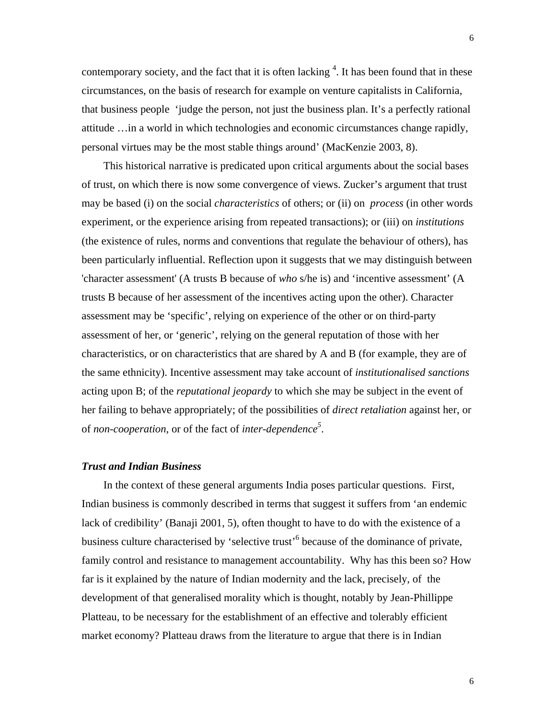contemporary society, and the fact that it is often lacking  $4$ . It has been found that in these circumstances, on the basis of research for example on venture capitalists in California, that business people 'judge the person, not just the business plan. It's a perfectly rational attitude …in a world in which technologies and economic circumstances change rapidly, personal virtues may be the most stable things around' (MacKenzie 2003, 8).

 This historical narrative is predicated upon critical arguments about the social bases of trust, on which there is now some convergence of views. Zucker's argument that trust may be based (i) on the social *characteristics* of others; or (ii) on *process* (in other words experiment, or the experience arising from repeated transactions); or (iii) on *institutions* (the existence of rules, norms and conventions that regulate the behaviour of others), has been particularly influential. Reflection upon it suggests that we may distinguish between 'character assessment' (A trusts B because of *who* s/he is) and 'incentive assessment' (A trusts B because of her assessment of the incentives acting upon the other). Character assessment may be 'specific', relying on experience of the other or on third-party assessment of her, or 'generic', relying on the general reputation of those with her characteristics, or on characteristics that are shared by A and B (for example, they are of the same ethnicity). Incentive assessment may take account of *institutionalised sanctions* acting upon B; of the *reputational jeopardy* to which she may be subject in the event of her failing to behave appropriately; of the possibilities of *direct retaliation* against her, or of *non-cooperation*, or of the fact of *inter-dependence[5](#page-26-4)* .

### *Trust and Indian Business*

 In the context of these general arguments India poses particular questions. First, Indian business is commonly described in terms that suggest it suffers from 'an endemic lack of credibility' (Banaji 2001, 5), often thought to have to do with the existence of a business culture characterised by 'selective trust'<sup>[6](#page-26-5)</sup> because of the dominance of private, family control and resistance to management accountability. Why has this been so? How far is it explained by the nature of Indian modernity and the lack, precisely, of the development of that generalised morality which is thought, notably by Jean-Phillippe Platteau, to be necessary for the establishment of an effective and tolerably efficient market economy? Platteau draws from the literature to argue that there is in Indian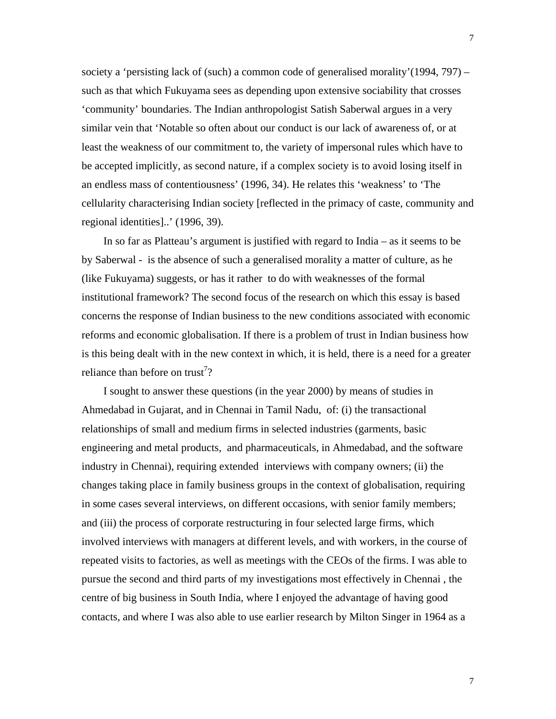society a 'persisting lack of (such) a common code of generalised morality'(1994, 797) – such as that which Fukuyama sees as depending upon extensive sociability that crosses 'community' boundaries. The Indian anthropologist Satish Saberwal argues in a very similar vein that 'Notable so often about our conduct is our lack of awareness of, or at least the weakness of our commitment to, the variety of impersonal rules which have to be accepted implicitly, as second nature, if a complex society is to avoid losing itself in an endless mass of contentiousness' (1996, 34). He relates this 'weakness' to 'The cellularity characterising Indian society [reflected in the primacy of caste, community and regional identities]..' (1996, 39).

 In so far as Platteau's argument is justified with regard to India – as it seems to be by Saberwal - is the absence of such a generalised morality a matter of culture, as he (like Fukuyama) suggests, or has it rather to do with weaknesses of the formal institutional framework? The second focus of the research on which this essay is based concerns the response of Indian business to the new conditions associated with economic reforms and economic globalisation. If there is a problem of trust in Indian business how is this being dealt with in the new context in which, it is held, there is a need for a greater reliance than before on trust<sup>[7](#page-26-6)</sup>?

 I sought to answer these questions (in the year 2000) by means of studies in Ahmedabad in Gujarat, and in Chennai in Tamil Nadu, of: (i) the transactional relationships of small and medium firms in selected industries (garments, basic engineering and metal products, and pharmaceuticals, in Ahmedabad, and the software industry in Chennai), requiring extended interviews with company owners; (ii) the changes taking place in family business groups in the context of globalisation, requiring in some cases several interviews, on different occasions, with senior family members; and (iii) the process of corporate restructuring in four selected large firms, which involved interviews with managers at different levels, and with workers, in the course of repeated visits to factories, as well as meetings with the CEOs of the firms. I was able to pursue the second and third parts of my investigations most effectively in Chennai , the centre of big business in South India, where I enjoyed the advantage of having good contacts, and where I was also able to use earlier research by Milton Singer in 1964 as a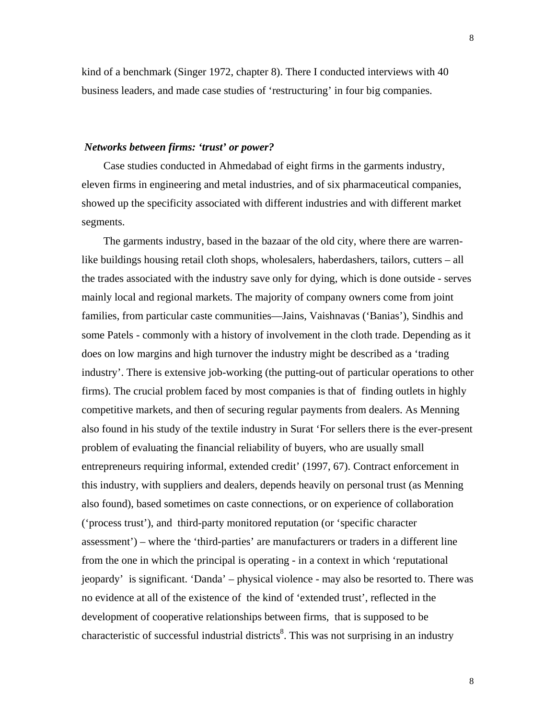kind of a benchmark (Singer 1972, chapter 8). There I conducted interviews with 40 business leaders, and made case studies of 'restructuring' in four big companies.

#### *Networks between firms: 'trust' or power?*

 Case studies conducted in Ahmedabad of eight firms in the garments industry, eleven firms in engineering and metal industries, and of six pharmaceutical companies, showed up the specificity associated with different industries and with different market segments.

 The garments industry, based in the bazaar of the old city, where there are warrenlike buildings housing retail cloth shops, wholesalers, haberdashers, tailors, cutters – all the trades associated with the industry save only for dying, which is done outside - serves mainly local and regional markets. The majority of company owners come from joint families, from particular caste communities—Jains, Vaishnavas ('Banias'), Sindhis and some Patels - commonly with a history of involvement in the cloth trade. Depending as it does on low margins and high turnover the industry might be described as a 'trading industry'. There is extensive job-working (the putting-out of particular operations to other firms). The crucial problem faced by most companies is that of finding outlets in highly competitive markets, and then of securing regular payments from dealers. As Menning also found in his study of the textile industry in Surat 'For sellers there is the ever-present problem of evaluating the financial reliability of buyers, who are usually small entrepreneurs requiring informal, extended credit' (1997, 67). Contract enforcement in this industry, with suppliers and dealers, depends heavily on personal trust (as Menning also found), based sometimes on caste connections, or on experience of collaboration ('process trust'), and third-party monitored reputation (or 'specific character assessment') – where the 'third-parties' are manufacturers or traders in a different line from the one in which the principal is operating - in a context in which 'reputational jeopardy' is significant. 'Danda' – physical violence - may also be resorted to. There was no evidence at all of the existence of the kind of 'extended trust', reflected in the development of cooperative relationships between firms, that is supposed to be characteristic of successful industrial districts<sup>[8](#page-26-7)</sup>. This was not surprising in an industry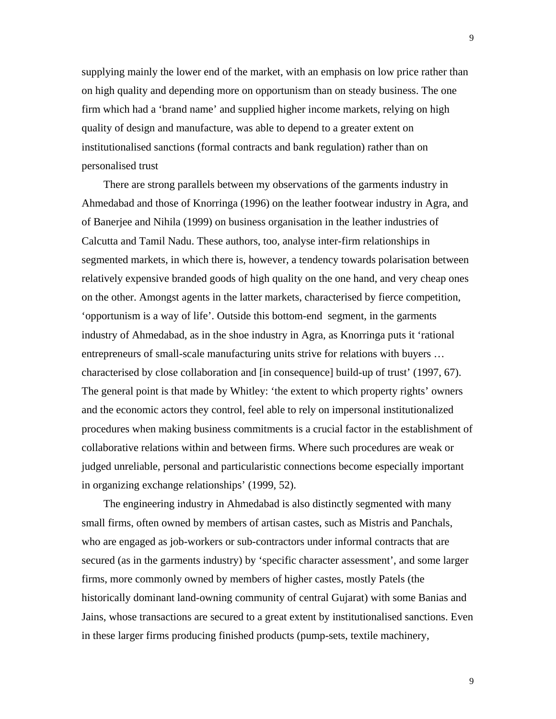supplying mainly the lower end of the market, with an emphasis on low price rather than on high quality and depending more on opportunism than on steady business. The one firm which had a 'brand name' and supplied higher income markets, relying on high quality of design and manufacture, was able to depend to a greater extent on institutionalised sanctions (formal contracts and bank regulation) rather than on personalised trust

 There are strong parallels between my observations of the garments industry in Ahmedabad and those of Knorringa (1996) on the leather footwear industry in Agra, and of Banerjee and Nihila (1999) on business organisation in the leather industries of Calcutta and Tamil Nadu. These authors, too, analyse inter-firm relationships in segmented markets, in which there is, however, a tendency towards polarisation between relatively expensive branded goods of high quality on the one hand, and very cheap ones on the other. Amongst agents in the latter markets, characterised by fierce competition, 'opportunism is a way of life'. Outside this bottom-end segment, in the garments industry of Ahmedabad, as in the shoe industry in Agra, as Knorringa puts it 'rational entrepreneurs of small-scale manufacturing units strive for relations with buyers … characterised by close collaboration and [in consequence] build-up of trust' (1997, 67). The general point is that made by Whitley: 'the extent to which property rights' owners and the economic actors they control, feel able to rely on impersonal institutionalized procedures when making business commitments is a crucial factor in the establishment of collaborative relations within and between firms. Where such procedures are weak or judged unreliable, personal and particularistic connections become especially important in organizing exchange relationships' (1999, 52).

 The engineering industry in Ahmedabad is also distinctly segmented with many small firms, often owned by members of artisan castes, such as Mistris and Panchals, who are engaged as job-workers or sub-contractors under informal contracts that are secured (as in the garments industry) by 'specific character assessment', and some larger firms, more commonly owned by members of higher castes, mostly Patels (the historically dominant land-owning community of central Gujarat) with some Banias and Jains, whose transactions are secured to a great extent by institutionalised sanctions. Even in these larger firms producing finished products (pump-sets, textile machinery,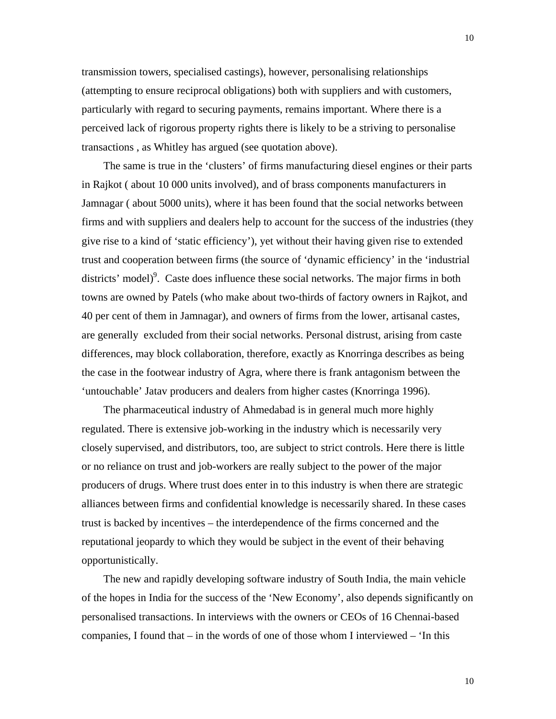transmission towers, specialised castings), however, personalising relationships (attempting to ensure reciprocal obligations) both with suppliers and with customers, particularly with regard to securing payments, remains important. Where there is a perceived lack of rigorous property rights there is likely to be a striving to personalise transactions , as Whitley has argued (see quotation above).

 The same is true in the 'clusters' of firms manufacturing diesel engines or their parts in Rajkot ( about 10 000 units involved), and of brass components manufacturers in Jamnagar ( about 5000 units), where it has been found that the social networks between firms and with suppliers and dealers help to account for the success of the industries (they give rise to a kind of 'static efficiency'), yet without their having given rise to extended trust and cooperation between firms (the source of 'dynamic efficiency' in the 'industrial districts' model)<sup>9</sup>. Caste does influence these social networks. The major firms in both towns are owned by Patels (who make about two-thirds of factory owners in Rajkot, and 40 per cent of them in Jamnagar), and owners of firms from the lower, artisanal castes, are generally excluded from their social networks. Personal distrust, arising from caste differences, may block collaboration, therefore, exactly as Knorringa describes as being the case in the footwear industry of Agra, where there is frank antagonism between the 'untouchable' Jatav producers and dealers from higher castes (Knorringa 1996).

 The pharmaceutical industry of Ahmedabad is in general much more highly regulated. There is extensive job-working in the industry which is necessarily very closely supervised, and distributors, too, are subject to strict controls. Here there is little or no reliance on trust and job-workers are really subject to the power of the major producers of drugs. Where trust does enter in to this industry is when there are strategic alliances between firms and confidential knowledge is necessarily shared. In these cases trust is backed by incentives – the interdependence of the firms concerned and the reputational jeopardy to which they would be subject in the event of their behaving opportunistically.

 The new and rapidly developing software industry of South India, the main vehicle of the hopes in India for the success of the 'New Economy', also depends significantly on personalised transactions. In interviews with the owners or CEOs of 16 Chennai-based companies, I found that – in the words of one of those whom I interviewed – 'In this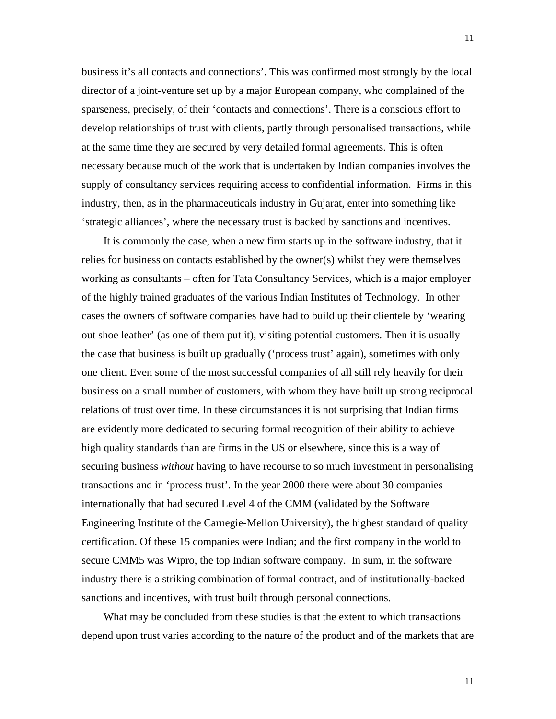business it's all contacts and connections'. This was confirmed most strongly by the local director of a joint-venture set up by a major European company, who complained of the sparseness, precisely, of their 'contacts and connections'. There is a conscious effort to develop relationships of trust with clients, partly through personalised transactions, while at the same time they are secured by very detailed formal agreements. This is often necessary because much of the work that is undertaken by Indian companies involves the supply of consultancy services requiring access to confidential information. Firms in this industry, then, as in the pharmaceuticals industry in Gujarat, enter into something like 'strategic alliances', where the necessary trust is backed by sanctions and incentives.

 It is commonly the case, when a new firm starts up in the software industry, that it relies for business on contacts established by the owner(s) whilst they were themselves working as consultants – often for Tata Consultancy Services, which is a major employer of the highly trained graduates of the various Indian Institutes of Technology. In other cases the owners of software companies have had to build up their clientele by 'wearing out shoe leather' (as one of them put it), visiting potential customers. Then it is usually the case that business is built up gradually ('process trust' again), sometimes with only one client. Even some of the most successful companies of all still rely heavily for their business on a small number of customers, with whom they have built up strong reciprocal relations of trust over time. In these circumstances it is not surprising that Indian firms are evidently more dedicated to securing formal recognition of their ability to achieve high quality standards than are firms in the US or elsewhere, since this is a way of securing business *without* having to have recourse to so much investment in personalising transactions and in 'process trust'. In the year 2000 there were about 30 companies internationally that had secured Level 4 of the CMM (validated by the Software Engineering Institute of the Carnegie-Mellon University), the highest standard of quality certification. Of these 15 companies were Indian; and the first company in the world to secure CMM5 was Wipro, the top Indian software company. In sum, in the software industry there is a striking combination of formal contract, and of institutionally-backed sanctions and incentives, with trust built through personal connections.

 What may be concluded from these studies is that the extent to which transactions depend upon trust varies according to the nature of the product and of the markets that are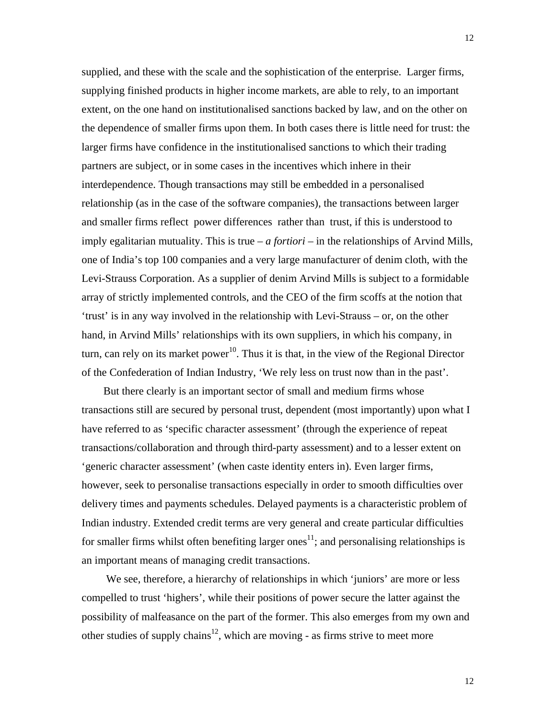supplied, and these with the scale and the sophistication of the enterprise. Larger firms, supplying finished products in higher income markets, are able to rely, to an important extent, on the one hand on institutionalised sanctions backed by law, and on the other on the dependence of smaller firms upon them. In both cases there is little need for trust: the larger firms have confidence in the institutionalised sanctions to which their trading partners are subject, or in some cases in the incentives which inhere in their interdependence. Though transactions may still be embedded in a personalised relationship (as in the case of the software companies), the transactions between larger and smaller firms reflect power differences rather than trust, if this is understood to imply egalitarian mutuality. This is true – *a fortiori* – in the relationships of Arvind Mills, one of India's top 100 companies and a very large manufacturer of denim cloth, with the Levi-Strauss Corporation. As a supplier of denim Arvind Mills is subject to a formidable array of strictly implemented controls, and the CEO of the firm scoffs at the notion that 'trust' is in any way involved in the relationship with Levi-Strauss – or, on the other hand, in Arvind Mills' relationships with its own suppliers, in which his company, in turn, can rely on its market power<sup>10</sup>. Thus it is that, in the view of the Regional Director of the Confederation of Indian Industry, 'We rely less on trust now than in the past'.

 But there clearly is an important sector of small and medium firms whose transactions still are secured by personal trust, dependent (most importantly) upon what I have referred to as 'specific character assessment' (through the experience of repeat transactions/collaboration and through third-party assessment) and to a lesser extent on 'generic character assessment' (when caste identity enters in). Even larger firms, however, seek to personalise transactions especially in order to smooth difficulties over delivery times and payments schedules. Delayed payments is a characteristic problem of Indian industry. Extended credit terms are very general and create particular difficulties for smaller firms whilst often benefiting larger ones<sup>11</sup>; and personalising relationships is an important means of managing credit transactions.

 We see, therefore, a hierarchy of relationships in which 'juniors' are more or less compelled to trust 'highers', while their positions of power secure the latter against the possibility of malfeasance on the part of the former. This also emerges from my own and other studies of supply chains<sup>12</sup>, which are moving - as firms strive to meet more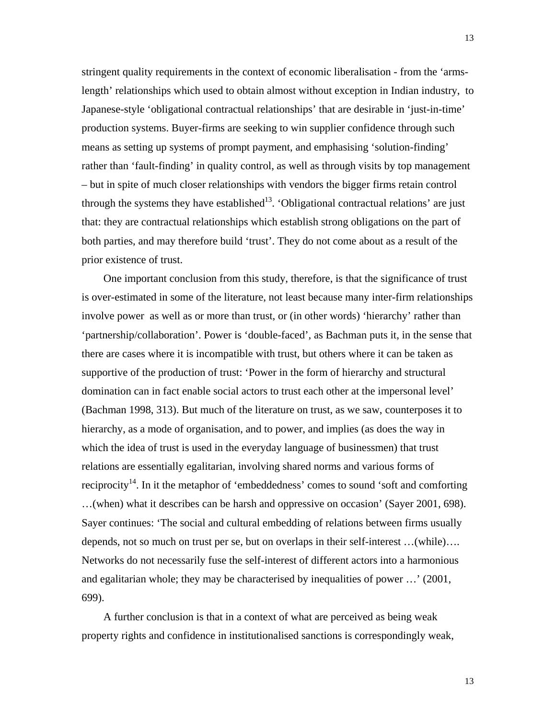stringent quality requirements in the context of economic liberalisation - from the 'armslength' relationships which used to obtain almost without exception in Indian industry, to Japanese-style 'obligational contractual relationships' that are desirable in 'just-in-time' production systems. Buyer-firms are seeking to win supplier confidence through such means as setting up systems of prompt payment, and emphasising 'solution-finding' rather than 'fault-finding' in quality control, as well as through visits by top management – but in spite of much closer relationships with vendors the bigger firms retain control through the systems they have established<sup>13</sup>. 'Obligational contractual relations' are just that: they are contractual relationships which establish strong obligations on the part of both parties, and may therefore build 'trust'. They do not come about as a result of the prior existence of trust.

 One important conclusion from this study, therefore, is that the significance of trust is over-estimated in some of the literature, not least because many inter-firm relationships involve power as well as or more than trust, or (in other words) 'hierarchy' rather than 'partnership/collaboration'. Power is 'double-faced', as Bachman puts it, in the sense that there are cases where it is incompatible with trust, but others where it can be taken as supportive of the production of trust: 'Power in the form of hierarchy and structural domination can in fact enable social actors to trust each other at the impersonal level' (Bachman 1998, 313). But much of the literature on trust, as we saw, counterposes it to hierarchy, as a mode of organisation, and to power, and implies (as does the way in which the idea of trust is used in the everyday language of businessmen) that trust relations are essentially egalitarian, involving shared norms and various forms of reciprocity<sup>14</sup>. In it the metaphor of 'embeddedness' comes to sound 'soft and comforting …(when) what it describes can be harsh and oppressive on occasion' (Sayer 2001, 698). Sayer continues: 'The social and cultural embedding of relations between firms usually depends, not so much on trust per se, but on overlaps in their self-interest …(while)…. Networks do not necessarily fuse the self-interest of different actors into a harmonious and egalitarian whole; they may be characterised by inequalities of power …' (2001, 699).

 A further conclusion is that in a context of what are perceived as being weak property rights and confidence in institutionalised sanctions is correspondingly weak,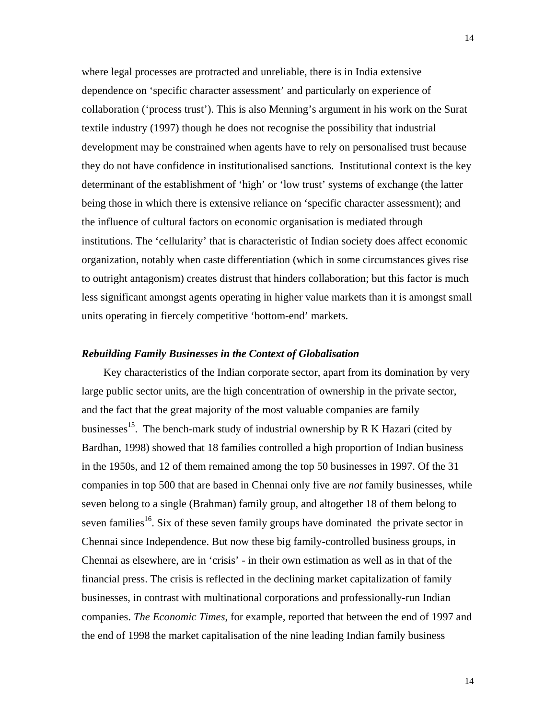where legal processes are protracted and unreliable, there is in India extensive dependence on 'specific character assessment' and particularly on experience of collaboration ('process trust'). This is also Menning's argument in his work on the Surat textile industry (1997) though he does not recognise the possibility that industrial development may be constrained when agents have to rely on personalised trust because they do not have confidence in institutionalised sanctions. Institutional context is the key determinant of the establishment of 'high' or 'low trust' systems of exchange (the latter being those in which there is extensive reliance on 'specific character assessment); and the influence of cultural factors on economic organisation is mediated through institutions. The 'cellularity' that is characteristic of Indian society does affect economic organization, notably when caste differentiation (which in some circumstances gives rise to outright antagonism) creates distrust that hinders collaboration; but this factor is much less significant amongst agents operating in higher value markets than it is amongst small units operating in fiercely competitive 'bottom-end' markets.

#### *Rebuilding Family Businesses in the Context of Globalisation*

 Key characteristics of the Indian corporate sector, apart from its domination by very large public sector units, are the high concentration of ownership in the private sector, and the fact that the great majority of the most valuable companies are family businesses<sup>15</sup>. The bench-mark study of industrial ownership by R K Hazari (cited by Bardhan, 1998) showed that 18 families controlled a high proportion of Indian business in the 1950s, and 12 of them remained among the top 50 businesses in 1997. Of the 31 companies in top 500 that are based in Chennai only five are *not* family businesses, while seven belong to a single (Brahman) family group, and altogether 18 of them belong to seven families<sup>16</sup>. Six of these seven family groups have dominated the private sector in Chennai since Independence. But now these big family-controlled business groups, in Chennai as elsewhere, are in 'crisis' - in their own estimation as well as in that of the financial press. The crisis is reflected in the declining market capitalization of family businesses, in contrast with multinational corporations and professionally-run Indian companies. *The Economic Times*, for example*,* reported that between the end of 1997 and the end of 1998 the market capitalisation of the nine leading Indian family business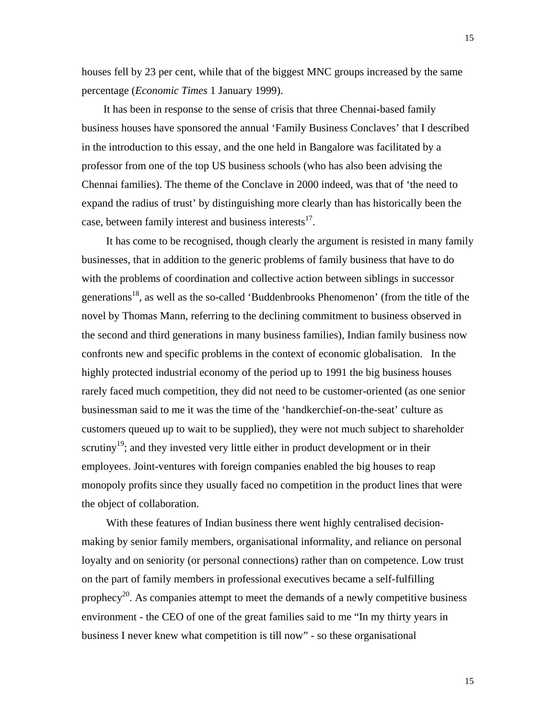houses fell by 23 per cent, while that of the biggest MNC groups increased by the same percentage (*Economic Times* 1 January 1999).

 It has been in response to the sense of crisis that three Chennai-based family business houses have sponsored the annual 'Family Business Conclaves' that I described in the introduction to this essay, and the one held in Bangalore was facilitated by a professor from one of the top US business schools (who has also been advising the Chennai families). The theme of the Conclave in 2000 indeed, was that of 'the need to expand the radius of trust' by distinguishing more clearly than has historically been the case, between family interest and business interests $17$ .

 It has come to be recognised, though clearly the argument is resisted in many family businesses, that in addition to the generic problems of family business that have to do with the problems of coordination and collective action between siblings in successor generations<sup>18</sup>, as well as the so-called 'Buddenbrooks Phenomenon' (from the title of the novel by Thomas Mann, referring to the declining commitment to business observed in the second and third generations in many business families), Indian family business now confronts new and specific problems in the context of economic globalisation. In the highly protected industrial economy of the period up to 1991 the big business houses rarely faced much competition, they did not need to be customer-oriented (as one senior businessman said to me it was the time of the 'handkerchief-on-the-seat' culture as customers queued up to wait to be supplied), they were not much subject to shareholder scrutiny<sup>19</sup>; and they invested very little either in product development or in their employees. Joint-ventures with foreign companies enabled the big houses to reap monopoly profits since they usually faced no competition in the product lines that were the object of collaboration.

 With these features of Indian business there went highly centralised decisionmaking by senior family members, organisational informality, and reliance on personal loyalty and on seniority (or personal connections) rather than on competence. Low trust on the part of family members in professional executives became a self-fulfilling prophecy<sup>20</sup>. As companies attempt to meet the demands of a newly competitive business environment - the CEO of one of the great families said to me "In my thirty years in business I never knew what competition is till now" - so these organisational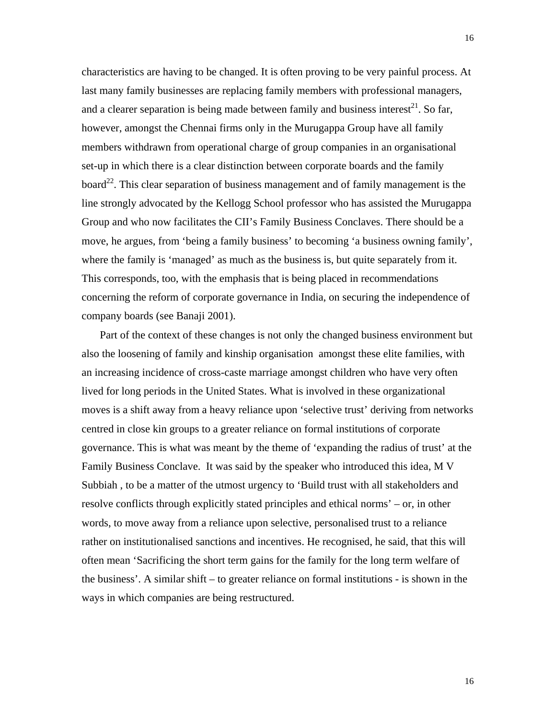characteristics are having to be changed. It is often proving to be very painful process. At last many family businesses are replacing family members with professional managers, and a clearer separation is being made between family and business interest<sup>21</sup>. So far, however, amongst the Chennai firms only in the Murugappa Group have all family members withdrawn from operational charge of group companies in an organisational set-up in which there is a clear distinction between corporate boards and the family board<sup>22</sup>. This clear separation of business management and of family management is the line strongly advocated by the Kellogg School professor who has assisted the Murugappa Group and who now facilitates the CII's Family Business Conclaves. There should be a move, he argues, from 'being a family business' to becoming 'a business owning family', where the family is 'managed' as much as the business is, but quite separately from it. This corresponds, too, with the emphasis that is being placed in recommendations concerning the reform of corporate governance in India, on securing the independence of company boards (see Banaji 2001).

 Part of the context of these changes is not only the changed business environment but also the loosening of family and kinship organisation amongst these elite families, with an increasing incidence of cross-caste marriage amongst children who have very often lived for long periods in the United States. What is involved in these organizational moves is a shift away from a heavy reliance upon 'selective trust' deriving from networks centred in close kin groups to a greater reliance on formal institutions of corporate governance. This is what was meant by the theme of 'expanding the radius of trust' at the Family Business Conclave. It was said by the speaker who introduced this idea, M V Subbiah , to be a matter of the utmost urgency to 'Build trust with all stakeholders and resolve conflicts through explicitly stated principles and ethical norms' – or, in other words, to move away from a reliance upon selective, personalised trust to a reliance rather on institutionalised sanctions and incentives. He recognised, he said, that this will often mean 'Sacrificing the short term gains for the family for the long term welfare of the business'. A similar shift – to greater reliance on formal institutions - is shown in the ways in which companies are being restructured.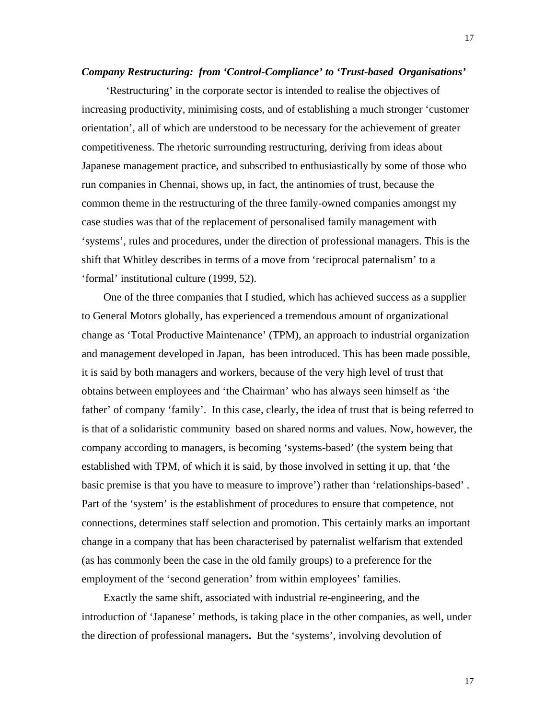#### *Company Restructuring: from 'Control-Compliance' to 'Trust-based Organisations'*

 'Restructuring' in the corporate sector is intended to realise the objectives of increasing productivity, minimising costs, and of establishing a much stronger 'customer orientation', all of which are understood to be necessary for the achievement of greater competitiveness. The rhetoric surrounding restructuring, deriving from ideas about Japanese management practice, and subscribed to enthusiastically by some of those who run companies in Chennai, shows up, in fact, the antinomies of trust, because the common theme in the restructuring of the three family-owned companies amongst my case studies was that of the replacement of personalised family management with 'systems', rules and procedures, under the direction of professional managers. This is the shift that Whitley describes in terms of a move from 'reciprocal paternalism' to a 'formal' institutional culture (1999, 52).

 One of the three companies that I studied, which has achieved success as a supplier to General Motors globally, has experienced a tremendous amount of organizational change as 'Total Productive Maintenance' (TPM), an approach to industrial organization and management developed in Japan, has been introduced. This has been made possible, it is said by both managers and workers, because of the very high level of trust that obtains between employees and 'the Chairman' who has always seen himself as 'the father' of company 'family'. In this case, clearly, the idea of trust that is being referred to is that of a solidaristic community based on shared norms and values. Now, however, the company according to managers, is becoming 'systems-based' (the system being that established with TPM, of which it is said, by those involved in setting it up, that 'the basic premise is that you have to measure to improve') rather than 'relationships-based' . Part of the 'system' is the establishment of procedures to ensure that competence, not connections, determines staff selection and promotion. This certainly marks an important change in a company that has been characterised by paternalist welfarism that extended (as has commonly been the case in the old family groups) to a preference for the employment of the 'second generation' from within employees' families.

 Exactly the same shift, associated with industrial re-engineering, and the introduction of 'Japanese' methods, is taking place in the other companies, as well, under the direction of professional managers**.** But the 'systems', involving devolution of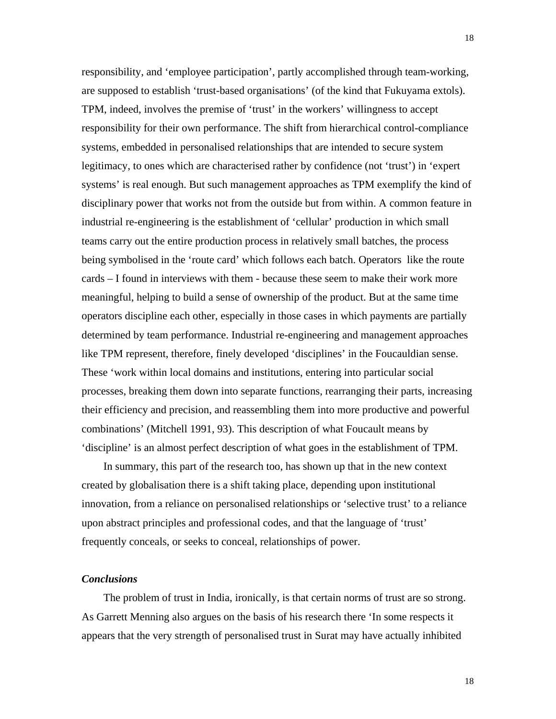responsibility, and 'employee participation', partly accomplished through team-working, are supposed to establish 'trust-based organisations' (of the kind that Fukuyama extols). TPM, indeed, involves the premise of 'trust' in the workers' willingness to accept responsibility for their own performance. The shift from hierarchical control-compliance systems, embedded in personalised relationships that are intended to secure system legitimacy, to ones which are characterised rather by confidence (not 'trust') in 'expert systems' is real enough. But such management approaches as TPM exemplify the kind of disciplinary power that works not from the outside but from within. A common feature in industrial re-engineering is the establishment of 'cellular' production in which small teams carry out the entire production process in relatively small batches, the process being symbolised in the 'route card' which follows each batch. Operators like the route cards – I found in interviews with them - because these seem to make their work more meaningful, helping to build a sense of ownership of the product. But at the same time operators discipline each other, especially in those cases in which payments are partially determined by team performance. Industrial re-engineering and management approaches like TPM represent, therefore, finely developed 'disciplines' in the Foucauldian sense. These 'work within local domains and institutions, entering into particular social processes, breaking them down into separate functions, rearranging their parts, increasing their efficiency and precision, and reassembling them into more productive and powerful combinations' (Mitchell 1991, 93). This description of what Foucault means by 'discipline' is an almost perfect description of what goes in the establishment of TPM.

 In summary, this part of the research too, has shown up that in the new context created by globalisation there is a shift taking place, depending upon institutional innovation, from a reliance on personalised relationships or 'selective trust' to a reliance upon abstract principles and professional codes, and that the language of 'trust' frequently conceals, or seeks to conceal, relationships of power.

#### *Conclusions*

 The problem of trust in India, ironically, is that certain norms of trust are so strong. As Garrett Menning also argues on the basis of his research there 'In some respects it appears that the very strength of personalised trust in Surat may have actually inhibited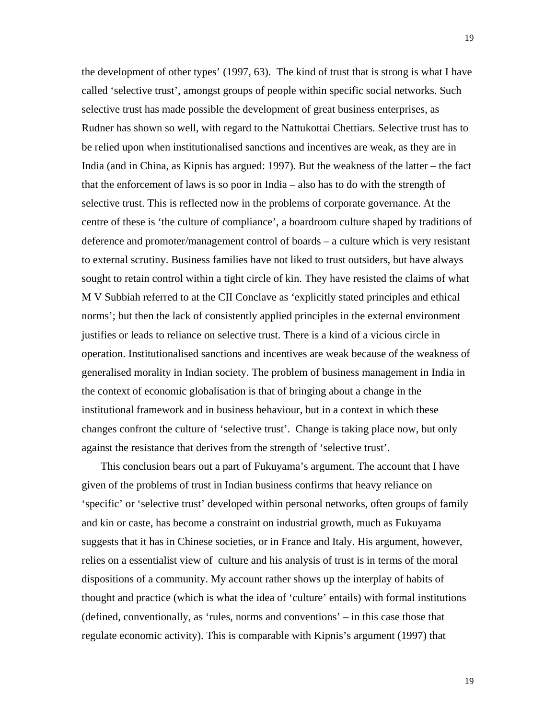the development of other types' (1997, 63). The kind of trust that is strong is what I have called 'selective trust', amongst groups of people within specific social networks. Such selective trust has made possible the development of great business enterprises, as Rudner has shown so well, with regard to the Nattukottai Chettiars. Selective trust has to be relied upon when institutionalised sanctions and incentives are weak, as they are in India (and in China, as Kipnis has argued: 1997). But the weakness of the latter – the fact that the enforcement of laws is so poor in India – also has to do with the strength of selective trust. This is reflected now in the problems of corporate governance. At the centre of these is 'the culture of compliance', a boardroom culture shaped by traditions of deference and promoter/management control of boards – a culture which is very resistant to external scrutiny. Business families have not liked to trust outsiders, but have always sought to retain control within a tight circle of kin. They have resisted the claims of what M V Subbiah referred to at the CII Conclave as 'explicitly stated principles and ethical norms'; but then the lack of consistently applied principles in the external environment justifies or leads to reliance on selective trust. There is a kind of a vicious circle in operation. Institutionalised sanctions and incentives are weak because of the weakness of generalised morality in Indian society. The problem of business management in India in the context of economic globalisation is that of bringing about a change in the institutional framework and in business behaviour, but in a context in which these changes confront the culture of 'selective trust'. Change is taking place now, but only against the resistance that derives from the strength of 'selective trust'.

 This conclusion bears out a part of Fukuyama's argument. The account that I have given of the problems of trust in Indian business confirms that heavy reliance on 'specific' or 'selective trust' developed within personal networks, often groups of family and kin or caste, has become a constraint on industrial growth, much as Fukuyama suggests that it has in Chinese societies, or in France and Italy. His argument, however, relies on a essentialist view of culture and his analysis of trust is in terms of the moral dispositions of a community. My account rather shows up the interplay of habits of thought and practice (which is what the idea of 'culture' entails) with formal institutions (defined, conventionally, as 'rules, norms and conventions' – in this case those that regulate economic activity). This is comparable with Kipnis's argument (1997) that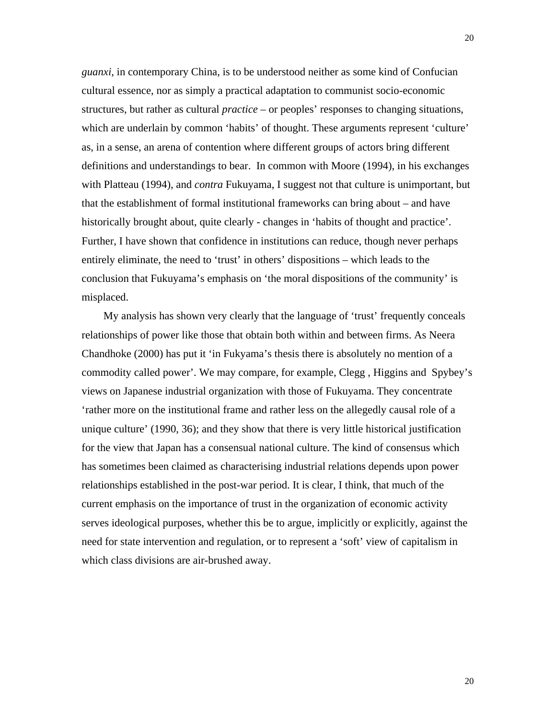*guanxi*, in contemporary China, is to be understood neither as some kind of Confucian cultural essence, nor as simply a practical adaptation to communist socio-economic structures, but rather as cultural *practice* – or peoples' responses to changing situations, which are underlain by common 'habits' of thought. These arguments represent 'culture' as, in a sense, an arena of contention where different groups of actors bring different definitions and understandings to bear. In common with Moore (1994), in his exchanges with Platteau (1994), and *contra* Fukuyama, I suggest not that culture is unimportant, but that the establishment of formal institutional frameworks can bring about – and have historically brought about, quite clearly - changes in 'habits of thought and practice'. Further, I have shown that confidence in institutions can reduce, though never perhaps entirely eliminate, the need to 'trust' in others' dispositions – which leads to the conclusion that Fukuyama's emphasis on 'the moral dispositions of the community' is misplaced.

 My analysis has shown very clearly that the language of 'trust' frequently conceals relationships of power like those that obtain both within and between firms. As Neera Chandhoke (2000) has put it 'in Fukyama's thesis there is absolutely no mention of a commodity called power'. We may compare, for example, Clegg , Higgins and Spybey's views on Japanese industrial organization with those of Fukuyama. They concentrate 'rather more on the institutional frame and rather less on the allegedly causal role of a unique culture' (1990, 36); and they show that there is very little historical justification for the view that Japan has a consensual national culture. The kind of consensus which has sometimes been claimed as characterising industrial relations depends upon power relationships established in the post-war period. It is clear, I think, that much of the current emphasis on the importance of trust in the organization of economic activity serves ideological purposes, whether this be to argue, implicitly or explicitly, against the need for state intervention and regulation, or to represent a 'soft' view of capitalism in which class divisions are air-brushed away.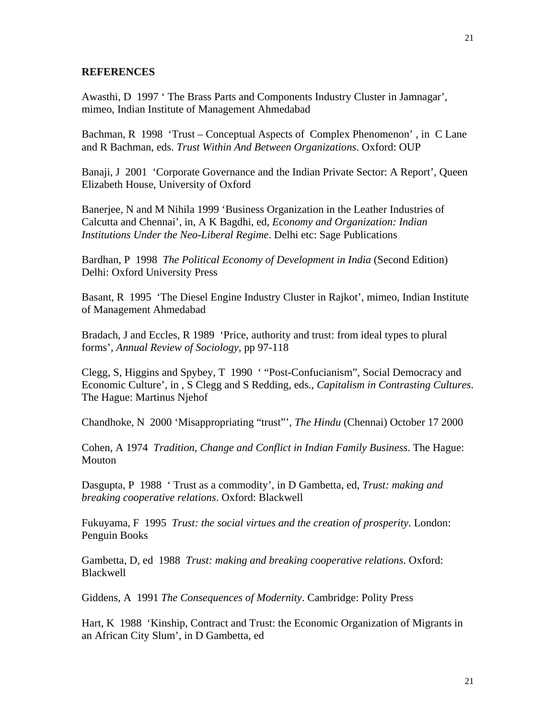#### **REFERENCES**

Awasthi, D 1997 ' The Brass Parts and Components Industry Cluster in Jamnagar', mimeo, Indian Institute of Management Ahmedabad

Bachman, R 1998 'Trust – Conceptual Aspects of Complex Phenomenon' , in C Lane and R Bachman, eds. *Trust Within And Between Organizations*. Oxford: OUP

Banaji, J 2001 'Corporate Governance and the Indian Private Sector: A Report', Queen Elizabeth House, University of Oxford

Banerjee, N and M Nihila 1999 'Business Organization in the Leather Industries of Calcutta and Chennai', in, A K Bagdhi, ed, *Economy and Organization: Indian Institutions Under the Neo-Liberal Regime*. Delhi etc: Sage Publications

Bardhan, P 1998 *The Political Economy of Development in India* (Second Edition) Delhi: Oxford University Press

Basant, R 1995 'The Diesel Engine Industry Cluster in Rajkot', mimeo, Indian Institute of Management Ahmedabad

Bradach, J and Eccles, R 1989 'Price, authority and trust: from ideal types to plural forms', *Annual Review of Sociology*, pp 97-118

Clegg, S, Higgins and Spybey, T 1990 ' "Post-Confucianism", Social Democracy and Economic Culture', in , S Clegg and S Redding, eds., *Capitalism in Contrasting Cultures*. The Hague: Martinus Njehof

Chandhoke, N 2000 'Misappropriating "trust"', *The Hindu* (Chennai) October 17 2000

Cohen, A 1974 *Tradition, Change and Conflict in Indian Family Business*. The Hague: Mouton

Dasgupta, P 1988 ' Trust as a commodity', in D Gambetta, ed, *Trust: making and breaking cooperative relations*. Oxford: Blackwell

Fukuyama, F 1995 *Trust: the social virtues and the creation of prosperity*. London: Penguin Books

Gambetta, D, ed 1988 *Trust: making and breaking cooperative relations*. Oxford: Blackwell

Giddens, A 1991 *The Consequences of Modernity*. Cambridge: Polity Press

Hart, K 1988 'Kinship, Contract and Trust: the Economic Organization of Migrants in an African City Slum', in D Gambetta, ed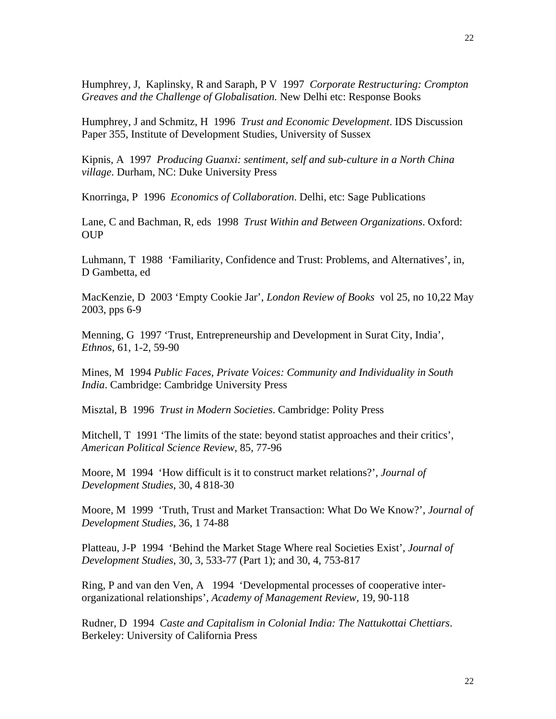Humphrey, J, Kaplinsky, R and Saraph, P V 1997 *Corporate Restructuring: Crompton Greaves and the Challenge of Globalisation.* New Delhi etc: Response Books

Humphrey, J and Schmitz, H 1996 *Trust and Economic Development*. IDS Discussion Paper 355, Institute of Development Studies, University of Sussex

Kipnis, A 1997 *Producing Guanxi: sentiment, self and sub-culture in a North China village*. Durham, NC: Duke University Press

Knorringa, P 1996 *Economics of Collaboration*. Delhi, etc: Sage Publications

Lane, C and Bachman, R, eds 1998 *Trust Within and Between Organizations*. Oxford: OUP

Luhmann, T 1988 'Familiarity, Confidence and Trust: Problems, and Alternatives', in, D Gambetta, ed

MacKenzie, D 2003 'Empty Cookie Jar', *London Review of Books* vol 25, no 10,22 May 2003, pps 6-9

Menning, G 1997 'Trust, Entrepreneurship and Development in Surat City, India', *Ethnos*, 61, 1-2, 59-90

Mines, M 1994 *Public Faces, Private Voices: Community and Individuality in South India*. Cambridge: Cambridge University Press

Misztal, B 1996 *Trust in Modern Societies*. Cambridge: Polity Press

Mitchell, T 1991 'The limits of the state: beyond statist approaches and their critics', *American Political Science Review*, 85, 77-96

Moore, M 1994 'How difficult is it to construct market relations?', *Journal of Development Studies*, 30, 4 818-30

Moore, M 1999 'Truth, Trust and Market Transaction: What Do We Know?', *Journal of Development Studies*, 36, 1 74-88

Platteau, J-P 1994 'Behind the Market Stage Where real Societies Exist', *Journal of Development Studies*, 30, 3, 533-77 (Part 1); and 30, 4, 753-817

Ring, P and van den Ven, A 1994 'Developmental processes of cooperative interorganizational relationships', *Academy of Management Review*, 19, 90-118

Rudner, D 1994 *Caste and Capitalism in Colonial India: The Nattukottai Chettiars*. Berkeley: University of California Press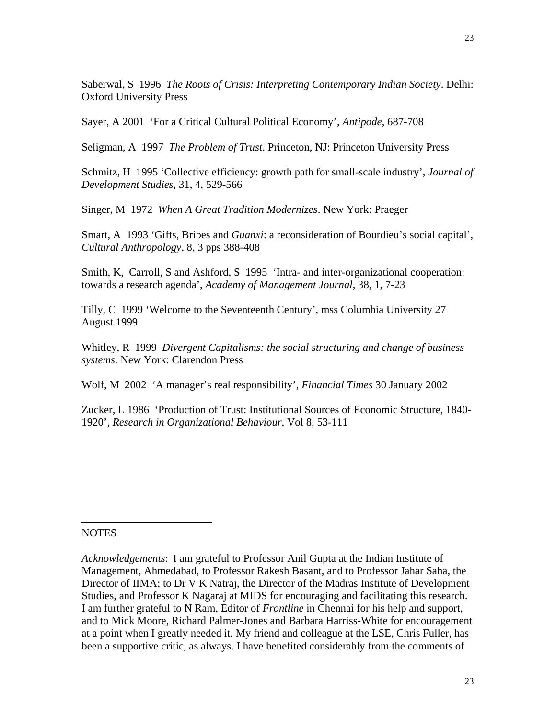Saberwal, S 1996 *The Roots of Crisis: Interpreting Contemporary Indian Society*. Delhi: Oxford University Press

Sayer, A 2001 'For a Critical Cultural Political Economy', *Antipode*, 687-708

Seligman, A 1997 *The Problem of Trust*. Princeton, NJ: Princeton University Press

Schmitz, H 1995 'Collective efficiency: growth path for small-scale industry', *Journal of Development Studies*, 31, 4, 529-566

Singer, M 1972 *When A Great Tradition Modernizes*. New York: Praeger

Smart, A 1993 'Gifts, Bribes and *Guanxi*: a reconsideration of Bourdieu's social capital', *Cultural Anthropology*, 8, 3 pps 388-408

Smith, K, Carroll, S and Ashford, S 1995 'Intra- and inter-organizational cooperation: towards a research agenda', *Academy of Management Journal*, 38, 1, 7-23

Tilly, C 1999 'Welcome to the Seventeenth Century', mss Columbia University 27 August 1999

Whitley, R 1999 *Divergent Capitalisms: the social structuring and change of business systems*. New York: Clarendon Press

Wolf, M 2002 'A manager's real responsibility', *Financial Times* 30 January 2002

Zucker, L 1986 'Production of Trust: Institutional Sources of Economic Structure, 1840- 1920', *Research in Organizational Behaviour*, Vol 8, 53-111

#### **NOTES**

 $\overline{\phantom{a}}$ 

*Acknowledgements*: I am grateful to Professor Anil Gupta at the Indian Institute of Management, Ahmedabad, to Professor Rakesh Basant, and to Professor Jahar Saha, the Director of IIMA; to Dr V K Natraj, the Director of the Madras Institute of Development Studies, and Professor K Nagaraj at MIDS for encouraging and facilitating this research. I am further grateful to N Ram, Editor of *Frontline* in Chennai for his help and support, and to Mick Moore, Richard Palmer-Jones and Barbara Harriss-White for encouragement at a point when I greatly needed it. My friend and colleague at the LSE, Chris Fuller, has been a supportive critic, as always. I have benefited considerably from the comments of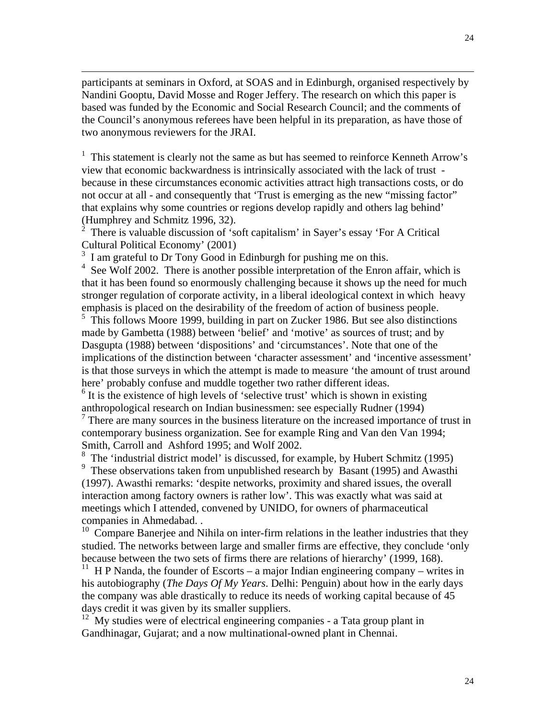participants at seminars in Oxford, at SOAS and in Edinburgh, organised respectively by Nandini Gooptu, David Mosse and Roger Jeffery. The research on which this paper is based was funded by the Economic and Social Research Council; and the comments of the Council's anonymous referees have been helpful in its preparation, as have those of two anonymous reviewers for the JRAI.

 $<sup>1</sup>$  This statement is clearly not the same as but has seemed to reinforce Kenneth Arrow's</sup> view that economic backwardness is intrinsically associated with the lack of trust because in these circumstances economic activities attract high transactions costs, or do not occur at all - and consequently that 'Trust is emerging as the new "missing factor" that explains why some countries or regions develop rapidly and others lag behind' (Humphrey and Schmitz 1996, 32).

<sup>2</sup> There is valuable discussion of 'soft capitalism' in Sayer's essay 'For A Critical Cultural Political Economy' (2001)

 $3\,$  I am grateful to Dr Tony Good in Edinburgh for pushing me on this.

 $\overline{\phantom{a}}$ 

<sup>4</sup> See Wolf 2002. There is another possible interpretation of the Enron affair, which is that it has been found so enormously challenging because it shows up the need for much stronger regulation of corporate activity, in a liberal ideological context in which heavy emphasis is placed on the desirability of the freedom of action of business people.

<sup>5</sup> This follows Moore 1999, building in part on Zucker 1986. But see also distinctions made by Gambetta (1988) between 'belief' and 'motive' as sources of trust; and by Dasgupta (1988) between 'dispositions' and 'circumstances'. Note that one of the implications of the distinction between 'character assessment' and 'incentive assessment' is that those surveys in which the attempt is made to measure 'the amount of trust around here' probably confuse and muddle together two rather different ideas.

<sup>6</sup> It is the existence of high levels of 'selective trust' which is shown in existing anthropological research on Indian businessmen: see especially Rudner (1994)

<sup>7</sup> There are many sources in the business literature on the increased importance of trust in contemporary business organization. See for example Ring and Van den Van 1994; Smith, Carroll and Ashford 1995; and Wolf 2002.

<sup>8</sup> The 'industrial district model' is discussed, for example, by Hubert Schmitz (1995)

<sup>9</sup> These observations taken from unpublished research by Basant (1995) and Awasthi (1997). Awasthi remarks: 'despite networks, proximity and shared issues, the overall interaction among factory owners is rather low'. This was exactly what was said at meetings which I attended, convened by UNIDO, for owners of pharmaceutical companies in Ahmedabad. .

 $10$  Compare Banerjee and Nihila on inter-firm relations in the leather industries that they studied. The networks between large and smaller firms are effective, they conclude 'only because between the two sets of firms there are relations of hierarchy' (1999, 168).<br><sup>11</sup> H P Nanda, the founder of Escorts – a major Indian engineering company – write

11 H P Nanda, the founder of Escorts – a major Indian engineering company – writes in his autobiography (*The Days Of My Years*. Delhi: Penguin) about how in the early days the company was able drastically to reduce its needs of working capital because of 45 days credit it was given by its smaller suppliers.

 $12$  My studies were of electrical engineering companies - a Tata group plant in Gandhinagar, Gujarat; and a now multinational-owned plant in Chennai.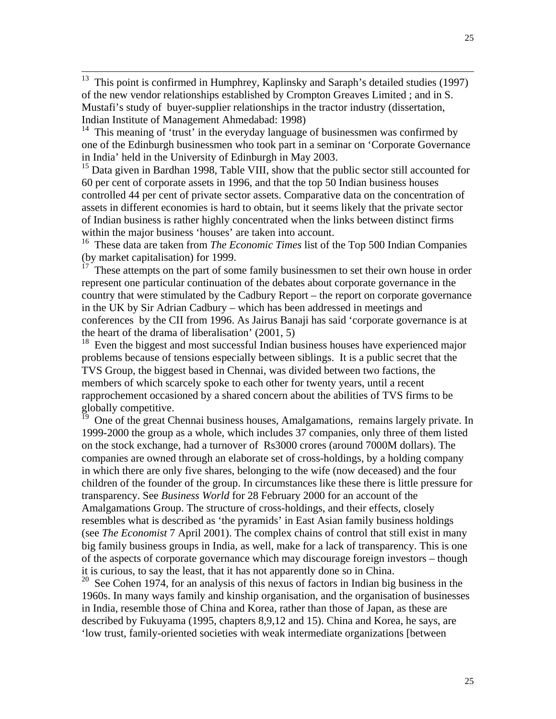$13$  This point is confirmed in Humphrey, Kaplinsky and Saraph's detailed studies (1997) of the new vendor relationships established by Crompton Greaves Limited ; and in S. Mustafi's study of buyer-supplier relationships in the tractor industry (dissertation, Indian Institute of Management Ahmedabad: 1998)

This meaning of 'trust' in the everyday language of businessmen was confirmed by one of the Edinburgh businessmen who took part in a seminar on 'Corporate Governance in India' held in the University of Edinburgh in May 2003.

<sup>15</sup> Data given in Bardhan 1998, Table VIII, show that the public sector still accounted for 60 per cent of corporate assets in 1996, and that the top 50 Indian business houses controlled 44 per cent of private sector assets. Comparative data on the concentration of assets in different economies is hard to obtain, but it seems likely that the private sector of Indian business is rather highly concentrated when the links between distinct firms within the major business 'houses' are taken into account.

<sup>16</sup> These data are taken from *The Economic Times* list of the Top 500 Indian Companies (by market capitalisation) for 1999.

These attempts on the part of some family businessmen to set their own house in order represent one particular continuation of the debates about corporate governance in the country that were stimulated by the Cadbury Report – the report on corporate governance in the UK by Sir Adrian Cadbury – which has been addressed in meetings and conferences by the CII from 1996. As Jairus Banaji has said 'corporate governance is at the heart of the drama of liberalisation' (2001, 5)

<sup>18</sup> Even the biggest and most successful Indian business houses have experienced major problems because of tensions especially between siblings. It is a public secret that the TVS Group, the biggest based in Chennai, was divided between two factions, the members of which scarcely spoke to each other for twenty years, until a recent rapprochement occasioned by a shared concern about the abilities of TVS firms to be globally competitive.<br> $^{19}$  One of the great  $Cl$ 

19 One of the great Chennai business houses, Amalgamations, remains largely private. In 1999-2000 the group as a whole, which includes 37 companies, only three of them listed on the stock exchange, had a turnover of Rs3000 crores (around 7000M dollars). The companies are owned through an elaborate set of cross-holdings, by a holding company in which there are only five shares, belonging to the wife (now deceased) and the four children of the founder of the group. In circumstances like these there is little pressure for transparency. See *Business World* for 28 February 2000 for an account of the Amalgamations Group. The structure of cross-holdings, and their effects, closely resembles what is described as 'the pyramids' in East Asian family business holdings (see *The Economist* 7 April 2001). The complex chains of control that still exist in many big family business groups in India, as well, make for a lack of transparency. This is one of the aspects of corporate governance which may discourage foreign investors – though it is curious, to say the least, that it has not apparently done so in China.

 $20$  See Cohen 1974, for an analysis of this nexus of factors in Indian big business in the 1960s. In many ways family and kinship organisation, and the organisation of businesses in India, resemble those of China and Korea, rather than those of Japan, as these are described by Fukuyama (1995, chapters 8,9,12 and 15). China and Korea, he says, are 'low trust, family-oriented societies with weak intermediate organizations [between